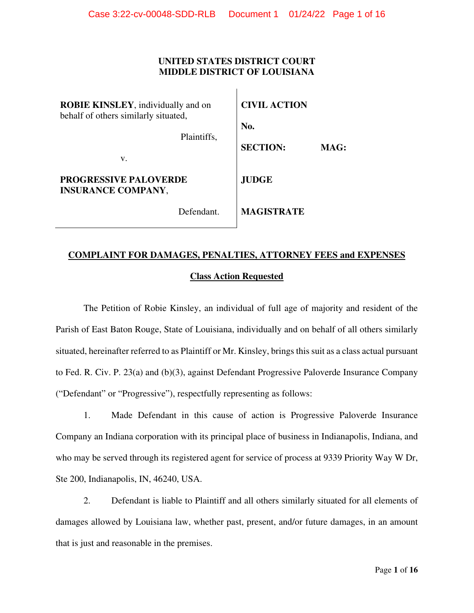# **UNITED STATES DISTRICT COURT MIDDLE DISTRICT OF LOUISIANA**

 $\mathbf{I}$ 

| <b>ROBIE KINSLEY</b> , individually and on<br>behalf of others similarly situated, |             | <b>CIVIL ACTION</b> |      |
|------------------------------------------------------------------------------------|-------------|---------------------|------|
|                                                                                    |             | No.                 |      |
|                                                                                    | Plaintiffs, | <b>SECTION:</b>     | MAG: |
| v.                                                                                 |             |                     |      |
| <b>PROGRESSIVE PALOVERDE</b><br><b>INSURANCE COMPANY,</b>                          |             | <b>JUDGE</b>        |      |
|                                                                                    | Defendant.  | <b>MAGISTRATE</b>   |      |

# **COMPLAINT FOR DAMAGES, PENALTIES, ATTORNEY FEES and EXPENSES Class Action Requested**

The Petition of Robie Kinsley, an individual of full age of majority and resident of the Parish of East Baton Rouge, State of Louisiana, individually and on behalf of all others similarly situated, hereinafter referred to as Plaintiff or Mr. Kinsley, brings this suit as a class actual pursuant to Fed. R. Civ. P. 23(a) and (b)(3), against Defendant Progressive Paloverde Insurance Company ("Defendant" or "Progressive"), respectfully representing as follows:

1. Made Defendant in this cause of action is Progressive Paloverde Insurance Company an Indiana corporation with its principal place of business in Indianapolis, Indiana, and who may be served through its registered agent for service of process at 9339 Priority Way W Dr, Ste 200, Indianapolis, IN, 46240, USA.

2. Defendant is liable to Plaintiff and all others similarly situated for all elements of damages allowed by Louisiana law, whether past, present, and/or future damages, in an amount that is just and reasonable in the premises.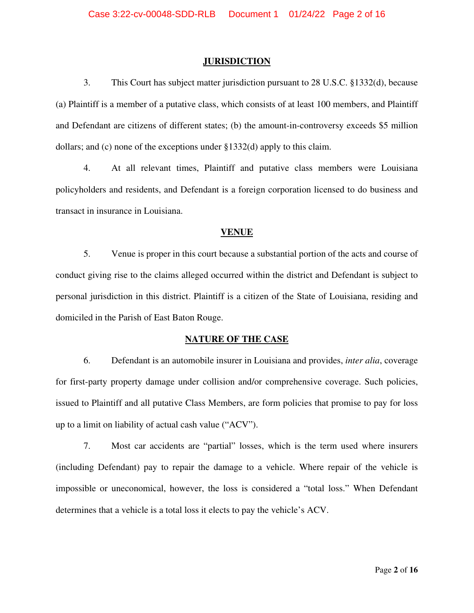#### **JURISDICTION**

3. This Court has subject matter jurisdiction pursuant to 28 U.S.C. §1332(d), because (a) Plaintiff is a member of a putative class, which consists of at least 100 members, and Plaintiff and Defendant are citizens of different states; (b) the amount-in-controversy exceeds \$5 million dollars; and (c) none of the exceptions under §1332(d) apply to this claim.

4. At all relevant times, Plaintiff and putative class members were Louisiana policyholders and residents, and Defendant is a foreign corporation licensed to do business and transact in insurance in Louisiana.

# **VENUE**

5. Venue is proper in this court because a substantial portion of the acts and course of conduct giving rise to the claims alleged occurred within the district and Defendant is subject to personal jurisdiction in this district. Plaintiff is a citizen of the State of Louisiana, residing and domiciled in the Parish of East Baton Rouge.

#### **NATURE OF THE CASE**

6. Defendant is an automobile insurer in Louisiana and provides, *inter alia*, coverage for first-party property damage under collision and/or comprehensive coverage. Such policies, issued to Plaintiff and all putative Class Members, are form policies that promise to pay for loss up to a limit on liability of actual cash value ("ACV").

7. Most car accidents are "partial" losses, which is the term used where insurers (including Defendant) pay to repair the damage to a vehicle. Where repair of the vehicle is impossible or uneconomical, however, the loss is considered a "total loss." When Defendant determines that a vehicle is a total loss it elects to pay the vehicle's ACV.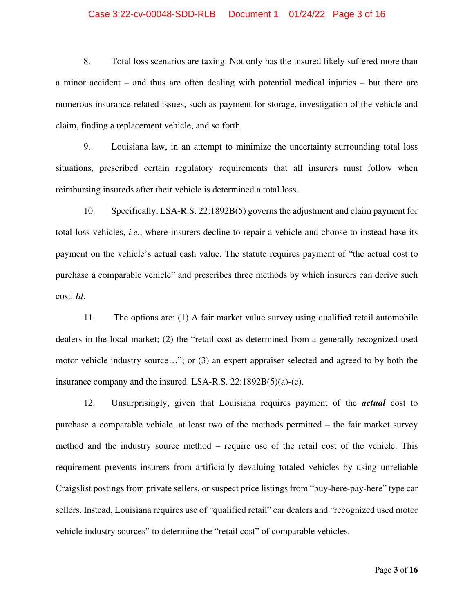#### Case 3:22-cv-00048-SDD-RLB Document 1 01/24/22 Page 3 of 16

8. Total loss scenarios are taxing. Not only has the insured likely suffered more than a minor accident – and thus are often dealing with potential medical injuries – but there are numerous insurance-related issues, such as payment for storage, investigation of the vehicle and claim, finding a replacement vehicle, and so forth.

9. Louisiana law, in an attempt to minimize the uncertainty surrounding total loss situations, prescribed certain regulatory requirements that all insurers must follow when reimbursing insureds after their vehicle is determined a total loss.

10. Specifically, LSA-R.S. 22:1892B(5) governs the adjustment and claim payment for total-loss vehicles, *i.e.*, where insurers decline to repair a vehicle and choose to instead base its payment on the vehicle's actual cash value. The statute requires payment of "the actual cost to purchase a comparable vehicle" and prescribes three methods by which insurers can derive such cost. *Id*.

11. The options are: (1) A fair market value survey using qualified retail automobile dealers in the local market; (2) the "retail cost as determined from a generally recognized used motor vehicle industry source…"; or (3) an expert appraiser selected and agreed to by both the insurance company and the insured. LSA-R.S. 22:1892B(5)(a)-(c).

12. Unsurprisingly, given that Louisiana requires payment of the *actual* cost to purchase a comparable vehicle, at least two of the methods permitted – the fair market survey method and the industry source method – require use of the retail cost of the vehicle. This requirement prevents insurers from artificially devaluing totaled vehicles by using unreliable Craigslist postings from private sellers, or suspect price listings from "buy-here-pay-here" type car sellers. Instead, Louisiana requires use of "qualified retail" car dealers and "recognized used motor vehicle industry sources" to determine the "retail cost" of comparable vehicles.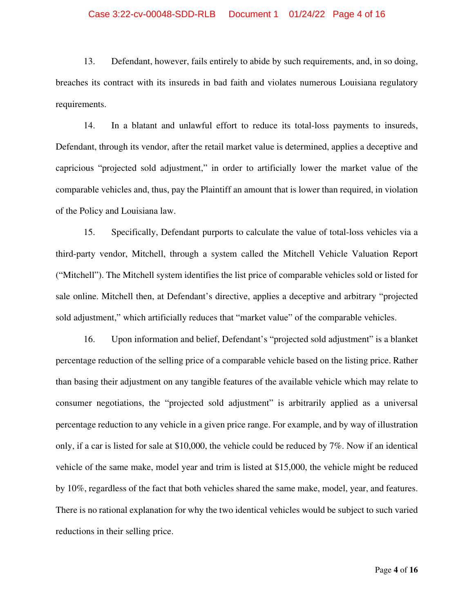#### Case 3:22-cv-00048-SDD-RLB Document 1 01/24/22 Page 4 of 16

13. Defendant, however, fails entirely to abide by such requirements, and, in so doing, breaches its contract with its insureds in bad faith and violates numerous Louisiana regulatory requirements.

14. In a blatant and unlawful effort to reduce its total-loss payments to insureds, Defendant, through its vendor, after the retail market value is determined, applies a deceptive and capricious "projected sold adjustment," in order to artificially lower the market value of the comparable vehicles and, thus, pay the Plaintiff an amount that is lower than required, in violation of the Policy and Louisiana law.

15. Specifically, Defendant purports to calculate the value of total-loss vehicles via a third-party vendor, Mitchell, through a system called the Mitchell Vehicle Valuation Report ("Mitchell"). The Mitchell system identifies the list price of comparable vehicles sold or listed for sale online. Mitchell then, at Defendant's directive, applies a deceptive and arbitrary "projected sold adjustment," which artificially reduces that "market value" of the comparable vehicles.

16. Upon information and belief, Defendant's "projected sold adjustment" is a blanket percentage reduction of the selling price of a comparable vehicle based on the listing price. Rather than basing their adjustment on any tangible features of the available vehicle which may relate to consumer negotiations, the "projected sold adjustment" is arbitrarily applied as a universal percentage reduction to any vehicle in a given price range. For example, and by way of illustration only, if a car is listed for sale at \$10,000, the vehicle could be reduced by 7%. Now if an identical vehicle of the same make, model year and trim is listed at \$15,000, the vehicle might be reduced by 10%, regardless of the fact that both vehicles shared the same make, model, year, and features. There is no rational explanation for why the two identical vehicles would be subject to such varied reductions in their selling price.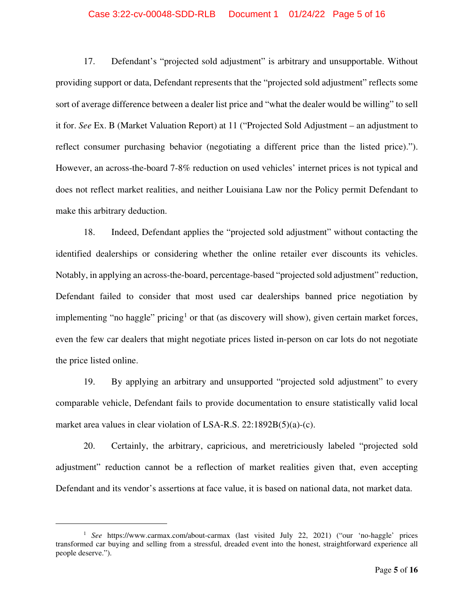#### Case 3:22-cv-00048-SDD-RLB Document 1 01/24/22 Page 5 of 16

17. Defendant's "projected sold adjustment" is arbitrary and unsupportable. Without providing support or data, Defendant represents that the "projected sold adjustment" reflects some sort of average difference between a dealer list price and "what the dealer would be willing" to sell it for. *See* Ex. B (Market Valuation Report) at 11 ("Projected Sold Adjustment – an adjustment to reflect consumer purchasing behavior (negotiating a different price than the listed price)."). However, an across-the-board 7-8% reduction on used vehicles' internet prices is not typical and does not reflect market realities, and neither Louisiana Law nor the Policy permit Defendant to make this arbitrary deduction.

18. Indeed, Defendant applies the "projected sold adjustment" without contacting the identified dealerships or considering whether the online retailer ever discounts its vehicles. Notably, in applying an across-the-board, percentage-based "projected sold adjustment" reduction, Defendant failed to consider that most used car dealerships banned price negotiation by implementing "no haggle" pricing<sup>[1](#page-4-0)</sup> or that (as discovery will show), given certain market forces, even the few car dealers that might negotiate prices listed in-person on car lots do not negotiate the price listed online.

19. By applying an arbitrary and unsupported "projected sold adjustment" to every comparable vehicle, Defendant fails to provide documentation to ensure statistically valid local market area values in clear violation of LSA-R.S. 22:1892B(5)(a)-(c).

20. Certainly, the arbitrary, capricious, and meretriciously labeled "projected sold adjustment" reduction cannot be a reflection of market realities given that, even accepting Defendant and its vendor's assertions at face value, it is based on national data, not market data.

<span id="page-4-0"></span><sup>1</sup> *See* https://www.carmax.com/about-carmax (last visited July 22, 2021) ("our 'no-haggle' prices transformed car buying and selling from a stressful, dreaded event into the honest, straightforward experience all people deserve.").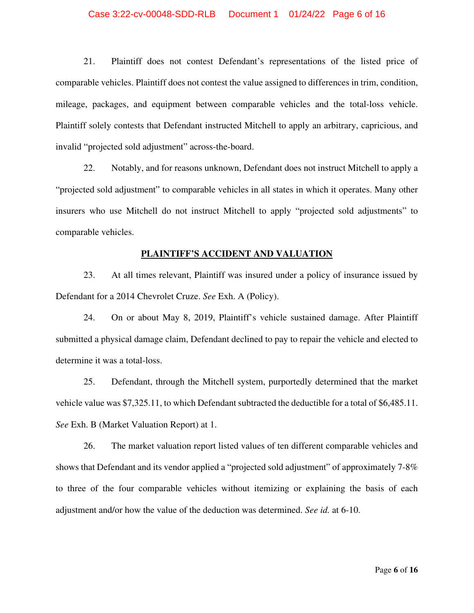#### Case 3:22-cv-00048-SDD-RLB Document 1 01/24/22 Page 6 of 16

21. Plaintiff does not contest Defendant's representations of the listed price of comparable vehicles. Plaintiff does not contest the value assigned to differences in trim, condition, mileage, packages, and equipment between comparable vehicles and the total-loss vehicle. Plaintiff solely contests that Defendant instructed Mitchell to apply an arbitrary, capricious, and invalid "projected sold adjustment" across-the-board.

22. Notably, and for reasons unknown, Defendant does not instruct Mitchell to apply a "projected sold adjustment" to comparable vehicles in all states in which it operates. Many other insurers who use Mitchell do not instruct Mitchell to apply "projected sold adjustments" to comparable vehicles.

#### **PLAINTIFF'S ACCIDENT AND VALUATION**

23. At all times relevant, Plaintiff was insured under a policy of insurance issued by Defendant for a 2014 Chevrolet Cruze. *See* Exh. A (Policy).

24. On or about May 8, 2019, Plaintiff's vehicle sustained damage. After Plaintiff submitted a physical damage claim, Defendant declined to pay to repair the vehicle and elected to determine it was a total-loss.

25. Defendant, through the Mitchell system, purportedly determined that the market vehicle value was \$7,325.11, to which Defendant subtracted the deductible for a total of \$6,485.11. *See* Exh. B (Market Valuation Report) at 1.

26. The market valuation report listed values of ten different comparable vehicles and shows that Defendant and its vendor applied a "projected sold adjustment" of approximately 7-8% to three of the four comparable vehicles without itemizing or explaining the basis of each adjustment and/or how the value of the deduction was determined. *See id.* at 6-10.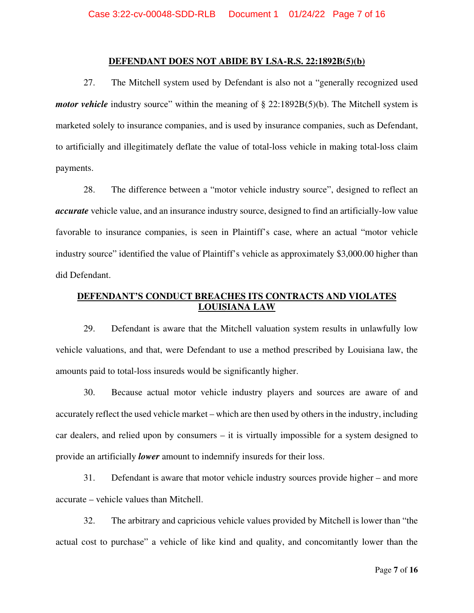#### **DEFENDANT DOES NOT ABIDE BY LSA-R.S. 22:1892B(5)(b)**

27. The Mitchell system used by Defendant is also not a "generally recognized used *motor vehicle* industry source" within the meaning of § 22:1892B(5)(b). The Mitchell system is marketed solely to insurance companies, and is used by insurance companies, such as Defendant, to artificially and illegitimately deflate the value of total-loss vehicle in making total-loss claim payments.

28. The difference between a "motor vehicle industry source", designed to reflect an *accurate* vehicle value, and an insurance industry source, designed to find an artificially-low value favorable to insurance companies, is seen in Plaintiff's case, where an actual "motor vehicle industry source" identified the value of Plaintiff's vehicle as approximately \$3,000.00 higher than did Defendant.

# **DEFENDANT'S CONDUCT BREACHES ITS CONTRACTS AND VIOLATES LOUISIANA LAW**

29. Defendant is aware that the Mitchell valuation system results in unlawfully low vehicle valuations, and that, were Defendant to use a method prescribed by Louisiana law, the amounts paid to total-loss insureds would be significantly higher.

30. Because actual motor vehicle industry players and sources are aware of and accurately reflect the used vehicle market – which are then used by others in the industry, including car dealers, and relied upon by consumers – it is virtually impossible for a system designed to provide an artificially *lower* amount to indemnify insureds for their loss.

31. Defendant is aware that motor vehicle industry sources provide higher – and more accurate – vehicle values than Mitchell.

32. The arbitrary and capricious vehicle values provided by Mitchell is lower than "the actual cost to purchase" a vehicle of like kind and quality, and concomitantly lower than the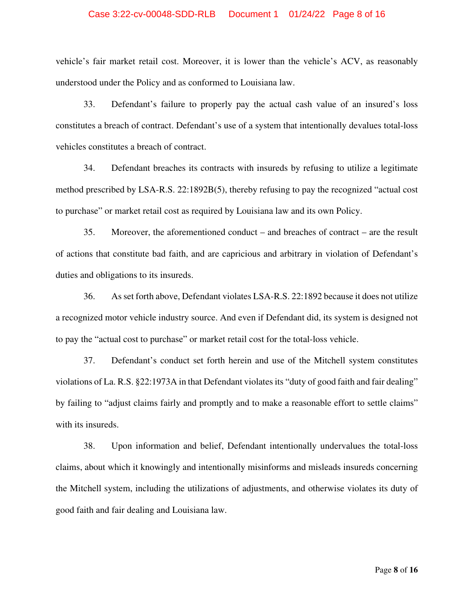#### Case 3:22-cv-00048-SDD-RLB Document 1 01/24/22 Page 8 of 16

vehicle's fair market retail cost. Moreover, it is lower than the vehicle's ACV, as reasonably understood under the Policy and as conformed to Louisiana law.

33. Defendant's failure to properly pay the actual cash value of an insured's loss constitutes a breach of contract. Defendant's use of a system that intentionally devalues total-loss vehicles constitutes a breach of contract.

34. Defendant breaches its contracts with insureds by refusing to utilize a legitimate method prescribed by LSA-R.S. 22:1892B(5), thereby refusing to pay the recognized "actual cost to purchase" or market retail cost as required by Louisiana law and its own Policy.

35. Moreover, the aforementioned conduct – and breaches of contract – are the result of actions that constitute bad faith, and are capricious and arbitrary in violation of Defendant's duties and obligations to its insureds.

36. As set forth above, Defendant violates LSA-R.S. 22:1892 because it does not utilize a recognized motor vehicle industry source. And even if Defendant did, its system is designed not to pay the "actual cost to purchase" or market retail cost for the total-loss vehicle.

37. Defendant's conduct set forth herein and use of the Mitchell system constitutes violations of La. R.S. §22:1973A in that Defendant violates its "duty of good faith and fair dealing" by failing to "adjust claims fairly and promptly and to make a reasonable effort to settle claims" with its insureds.

38. Upon information and belief, Defendant intentionally undervalues the total-loss claims, about which it knowingly and intentionally misinforms and misleads insureds concerning the Mitchell system, including the utilizations of adjustments, and otherwise violates its duty of good faith and fair dealing and Louisiana law.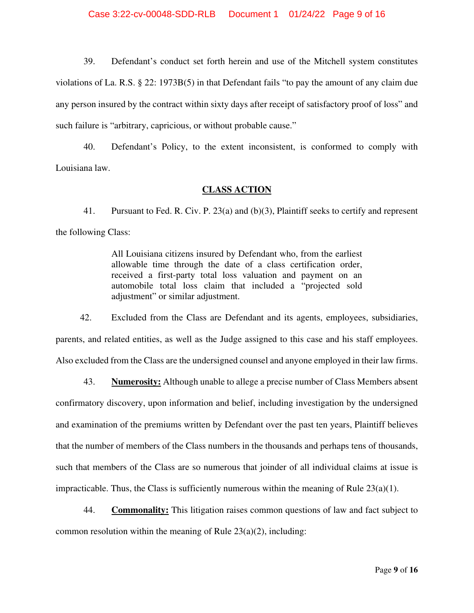39. Defendant's conduct set forth herein and use of the Mitchell system constitutes violations of La. R.S. § 22: 1973B(5) in that Defendant fails "to pay the amount of any claim due any person insured by the contract within sixty days after receipt of satisfactory proof of loss" and such failure is "arbitrary, capricious, or without probable cause."

40. Defendant's Policy, to the extent inconsistent, is conformed to comply with Louisiana law.

## **CLASS ACTION**

41. Pursuant to Fed. R. Civ. P. 23(a) and (b)(3), Plaintiff seeks to certify and represent the following Class:

> All Louisiana citizens insured by Defendant who, from the earliest allowable time through the date of a class certification order, received a first-party total loss valuation and payment on an automobile total loss claim that included a "projected sold adjustment" or similar adjustment.

42. Excluded from the Class are Defendant and its agents, employees, subsidiaries, parents, and related entities, as well as the Judge assigned to this case and his staff employees. Also excluded from the Class are the undersigned counsel and anyone employed in their law firms.

43. **Numerosity:** Although unable to allege a precise number of Class Members absent confirmatory discovery, upon information and belief, including investigation by the undersigned and examination of the premiums written by Defendant over the past ten years, Plaintiff believes that the number of members of the Class numbers in the thousands and perhaps tens of thousands, such that members of the Class are so numerous that joinder of all individual claims at issue is impracticable. Thus, the Class is sufficiently numerous within the meaning of Rule  $23(a)(1)$ .

44. **Commonality:** This litigation raises common questions of law and fact subject to common resolution within the meaning of Rule  $23(a)(2)$ , including: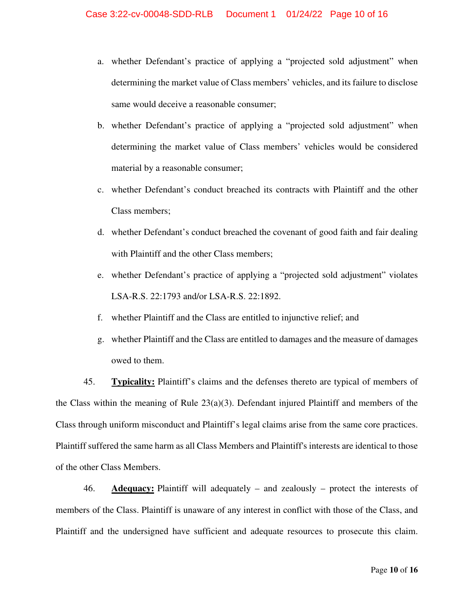- a. whether Defendant's practice of applying a "projected sold adjustment" when determining the market value of Class members' vehicles, and its failure to disclose same would deceive a reasonable consumer;
- b. whether Defendant's practice of applying a "projected sold adjustment" when determining the market value of Class members' vehicles would be considered material by a reasonable consumer;
- c. whether Defendant's conduct breached its contracts with Plaintiff and the other Class members;
- d. whether Defendant's conduct breached the covenant of good faith and fair dealing with Plaintiff and the other Class members;
- e. whether Defendant's practice of applying a "projected sold adjustment" violates LSA-R.S. 22:1793 and/or LSA-R.S. 22:1892.
- f. whether Plaintiff and the Class are entitled to injunctive relief; and
- g. whether Plaintiff and the Class are entitled to damages and the measure of damages owed to them.

45. **Typicality:** Plaintiff's claims and the defenses thereto are typical of members of the Class within the meaning of Rule  $23(a)(3)$ . Defendant injured Plaintiff and members of the Class through uniform misconduct and Plaintiff's legal claims arise from the same core practices. Plaintiff suffered the same harm as all Class Members and Plaintiff's interests are identical to those of the other Class Members.

46. **Adequacy:** Plaintiff will adequately – and zealously – protect the interests of members of the Class. Plaintiff is unaware of any interest in conflict with those of the Class, and Plaintiff and the undersigned have sufficient and adequate resources to prosecute this claim.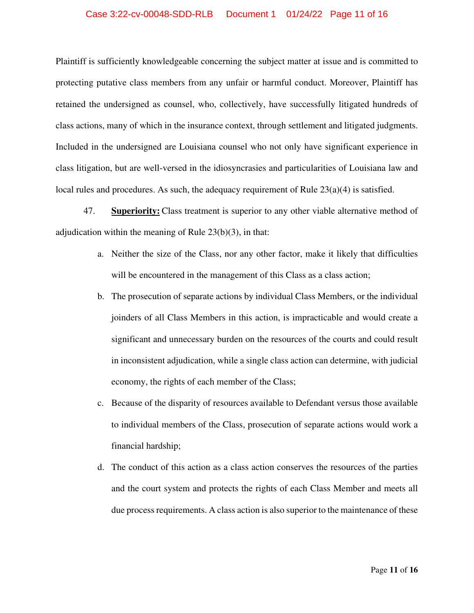#### Case 3:22-cv-00048-SDD-RLB Document 1 01/24/22 Page 11 of 16

Plaintiff is sufficiently knowledgeable concerning the subject matter at issue and is committed to protecting putative class members from any unfair or harmful conduct. Moreover, Plaintiff has retained the undersigned as counsel, who, collectively, have successfully litigated hundreds of class actions, many of which in the insurance context, through settlement and litigated judgments. Included in the undersigned are Louisiana counsel who not only have significant experience in class litigation, but are well-versed in the idiosyncrasies and particularities of Louisiana law and local rules and procedures. As such, the adequacy requirement of Rule  $23(a)(4)$  is satisfied.

47. **Superiority:** Class treatment is superior to any other viable alternative method of adjudication within the meaning of Rule 23(b)(3), in that:

- a. Neither the size of the Class, nor any other factor, make it likely that difficulties will be encountered in the management of this Class as a class action;
- b. The prosecution of separate actions by individual Class Members, or the individual joinders of all Class Members in this action, is impracticable and would create a significant and unnecessary burden on the resources of the courts and could result in inconsistent adjudication, while a single class action can determine, with judicial economy, the rights of each member of the Class;
- c. Because of the disparity of resources available to Defendant versus those available to individual members of the Class, prosecution of separate actions would work a financial hardship;
- d. The conduct of this action as a class action conserves the resources of the parties and the court system and protects the rights of each Class Member and meets all due process requirements. A class action is also superior to the maintenance of these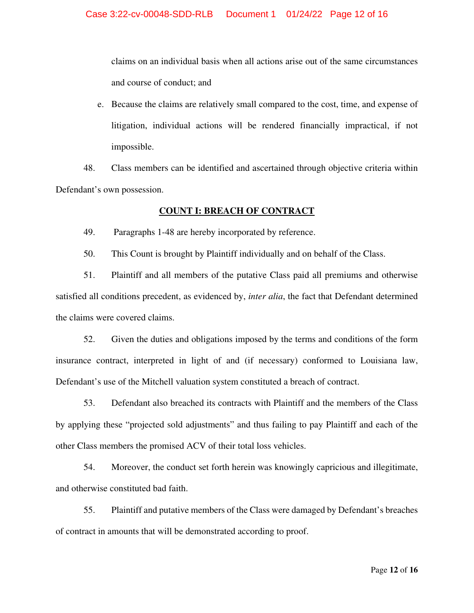claims on an individual basis when all actions arise out of the same circumstances and course of conduct; and

e. Because the claims are relatively small compared to the cost, time, and expense of litigation, individual actions will be rendered financially impractical, if not impossible.

48. Class members can be identified and ascertained through objective criteria within Defendant's own possession.

# **COUNT I: BREACH OF CONTRACT**

49. Paragraphs 1-48 are hereby incorporated by reference.

50. This Count is brought by Plaintiff individually and on behalf of the Class.

51. Plaintiff and all members of the putative Class paid all premiums and otherwise satisfied all conditions precedent, as evidenced by, *inter alia*, the fact that Defendant determined the claims were covered claims.

52. Given the duties and obligations imposed by the terms and conditions of the form insurance contract, interpreted in light of and (if necessary) conformed to Louisiana law, Defendant's use of the Mitchell valuation system constituted a breach of contract.

53. Defendant also breached its contracts with Plaintiff and the members of the Class by applying these "projected sold adjustments" and thus failing to pay Plaintiff and each of the other Class members the promised ACV of their total loss vehicles.

54. Moreover, the conduct set forth herein was knowingly capricious and illegitimate, and otherwise constituted bad faith.

55. Plaintiff and putative members of the Class were damaged by Defendant's breaches of contract in amounts that will be demonstrated according to proof.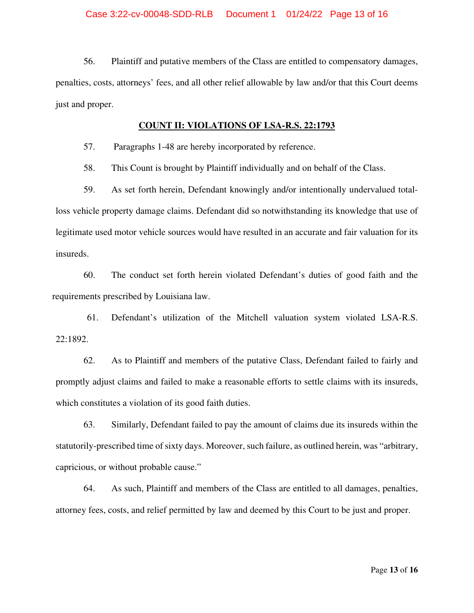56. Plaintiff and putative members of the Class are entitled to compensatory damages, penalties, costs, attorneys' fees, and all other relief allowable by law and/or that this Court deems just and proper.

## **COUNT II: VIOLATIONS OF LSA-R.S. 22:1793**

57. Paragraphs 1-48 are hereby incorporated by reference.

58. This Count is brought by Plaintiff individually and on behalf of the Class.

59. As set forth herein, Defendant knowingly and/or intentionally undervalued totalloss vehicle property damage claims. Defendant did so notwithstanding its knowledge that use of legitimate used motor vehicle sources would have resulted in an accurate and fair valuation for its insureds.

60. The conduct set forth herein violated Defendant's duties of good faith and the requirements prescribed by Louisiana law.

61. Defendant's utilization of the Mitchell valuation system violated LSA-R.S. 22:1892.

62. As to Plaintiff and members of the putative Class, Defendant failed to fairly and promptly adjust claims and failed to make a reasonable efforts to settle claims with its insureds, which constitutes a violation of its good faith duties.

63. Similarly, Defendant failed to pay the amount of claims due its insureds within the statutorily-prescribed time of sixty days. Moreover, such failure, as outlined herein, was "arbitrary, capricious, or without probable cause."

64. As such, Plaintiff and members of the Class are entitled to all damages, penalties, attorney fees, costs, and relief permitted by law and deemed by this Court to be just and proper.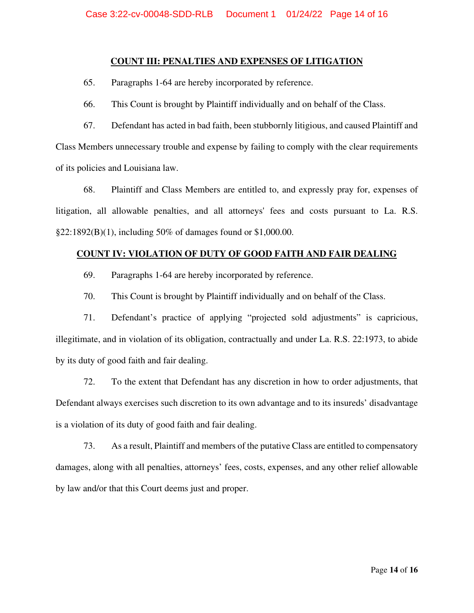# **COUNT III: PENALTIES AND EXPENSES OF LITIGATION**

65. Paragraphs 1-64 are hereby incorporated by reference.

66. This Count is brought by Plaintiff individually and on behalf of the Class.

67. Defendant has acted in bad faith, been stubbornly litigious, and caused Plaintiff and Class Members unnecessary trouble and expense by failing to comply with the clear requirements of its policies and Louisiana law.

68. Plaintiff and Class Members are entitled to, and expressly pray for, expenses of litigation, all allowable penalties, and all attorneys' fees and costs pursuant to La. R.S. §22:1892(B)(1), including 50% of damages found or \$1,000.00.

# **COUNT IV: VIOLATION OF DUTY OF GOOD FAITH AND FAIR DEALING**

- 69. Paragraphs 1-64 are hereby incorporated by reference.
- 70. This Count is brought by Plaintiff individually and on behalf of the Class.

71. Defendant's practice of applying "projected sold adjustments" is capricious, illegitimate, and in violation of its obligation, contractually and under La. R.S. 22:1973, to abide by its duty of good faith and fair dealing.

72. To the extent that Defendant has any discretion in how to order adjustments, that Defendant always exercises such discretion to its own advantage and to its insureds' disadvantage is a violation of its duty of good faith and fair dealing.

73. As a result, Plaintiff and members of the putative Class are entitled to compensatory damages, along with all penalties, attorneys' fees, costs, expenses, and any other relief allowable by law and/or that this Court deems just and proper.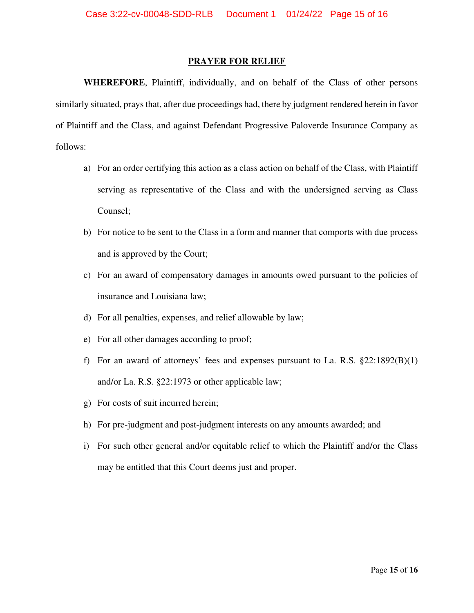#### **PRAYER FOR RELIEF**

**WHEREFORE**, Plaintiff, individually, and on behalf of the Class of other persons similarly situated, prays that, after due proceedings had, there by judgment rendered herein in favor of Plaintiff and the Class, and against Defendant Progressive Paloverde Insurance Company as follows:

- a) For an order certifying this action as a class action on behalf of the Class, with Plaintiff serving as representative of the Class and with the undersigned serving as Class Counsel;
- b) For notice to be sent to the Class in a form and manner that comports with due process and is approved by the Court;
- c) For an award of compensatory damages in amounts owed pursuant to the policies of insurance and Louisiana law;
- d) For all penalties, expenses, and relief allowable by law;
- e) For all other damages according to proof;
- f) For an award of attorneys' fees and expenses pursuant to La. R.S. §22:1892(B)(1) and/or La. R.S. §22:1973 or other applicable law;
- g) For costs of suit incurred herein;
- h) For pre-judgment and post-judgment interests on any amounts awarded; and
- i) For such other general and/or equitable relief to which the Plaintiff and/or the Class may be entitled that this Court deems just and proper.